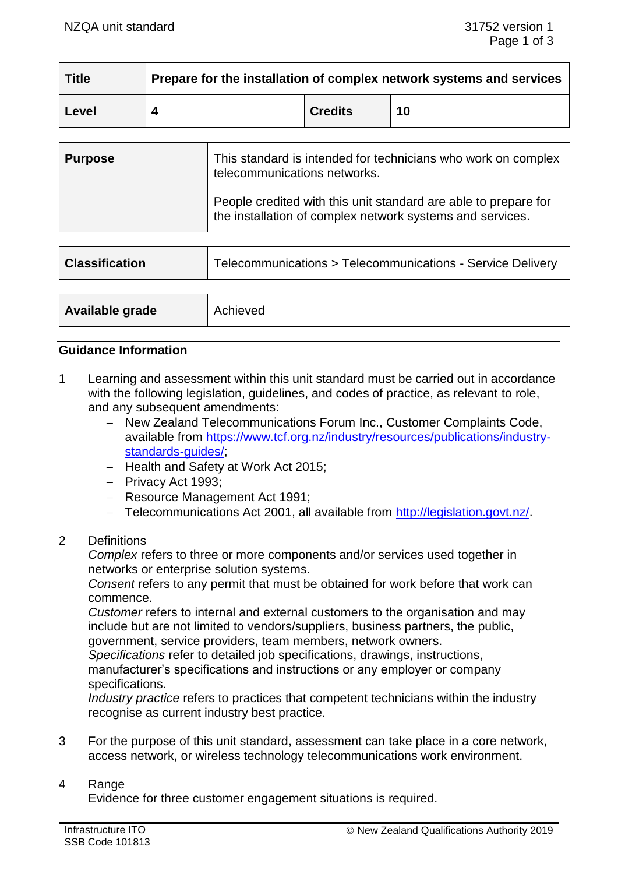| <b>Title</b> | Prepare for the installation of complex network systems and services |                |    |
|--------------|----------------------------------------------------------------------|----------------|----|
| Level        |                                                                      | <b>Credits</b> | 10 |

| <b>Purpose</b> | This standard is intended for technicians who work on complex<br>telecommunications networks.                                |  |
|----------------|------------------------------------------------------------------------------------------------------------------------------|--|
|                | People credited with this unit standard are able to prepare for<br>the installation of complex network systems and services. |  |

| <b>Classification</b> | Telecommunications > Telecommunications - Service Delivery |  |
|-----------------------|------------------------------------------------------------|--|
|                       |                                                            |  |
| Available grade       | Achieved                                                   |  |

### **Guidance Information**

- 1 Learning and assessment within this unit standard must be carried out in accordance with the following legislation, guidelines, and codes of practice, as relevant to role, and any subsequent amendments:
	- − New Zealand Telecommunications Forum Inc., Customer Complaints Code, available from https://www.tcf.org.nz/industry/resources/publications/industrv[standards-guides/;](https://www.tcf.org.nz/industry/resources/publications/industry-standards-guides/)
	- − Health and Safety at Work Act 2015;
	- − Privacy Act 1993;
	- − Resource Management Act 1991;
	- − Telecommunications Act 2001, all available from [http://legislation.govt.nz/.](http://legislation.govt.nz/)

# 2 Definitions

*Complex* refers to three or more components and/or services used together in networks or enterprise solution systems.

*Consent* refers to any permit that must be obtained for work before that work can commence.

*Customer* refers to internal and external customers to the organisation and may include but are not limited to vendors/suppliers, business partners, the public, government, service providers, team members, network owners.

*Specifications* refer to detailed job specifications, drawings, instructions, manufacturer's specifications and instructions or any employer or company specifications.

*Industry practice* refers to practices that competent technicians within the industry recognise as current industry best practice.

3 For the purpose of this unit standard, assessment can take place in a core network, access network, or wireless technology telecommunications work environment.

#### 4 Range

Evidence for three customer engagement situations is required.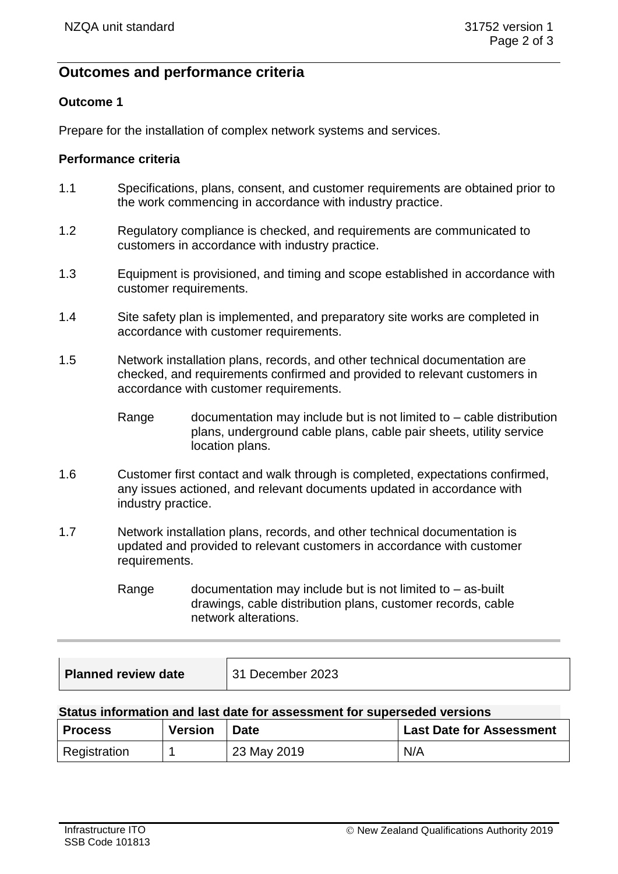# **Outcomes and performance criteria**

# **Outcome 1**

Prepare for the installation of complex network systems and services.

### **Performance criteria**

- 1.1 Specifications, plans, consent, and customer requirements are obtained prior to the work commencing in accordance with industry practice.
- 1.2 Regulatory compliance is checked, and requirements are communicated to customers in accordance with industry practice.
- 1.3 Equipment is provisioned, and timing and scope established in accordance with customer requirements.
- 1.4 Site safety plan is implemented, and preparatory site works are completed in accordance with customer requirements.
- 1.5 Network installation plans, records, and other technical documentation are checked, and requirements confirmed and provided to relevant customers in accordance with customer requirements.
	- Range documentation may include but is not limited to cable distribution plans, underground cable plans, cable pair sheets, utility service location plans.
- 1.6 Customer first contact and walk through is completed, expectations confirmed, any issues actioned, and relevant documents updated in accordance with industry practice.
- 1.7 Network installation plans, records, and other technical documentation is updated and provided to relevant customers in accordance with customer requirements.
	- Range documentation may include but is not limited to  $-$  as-built drawings, cable distribution plans, customer records, cable network alterations.

| <b>Planned review date</b> | 31 December 2023 |
|----------------------------|------------------|
|----------------------------|------------------|

### **Status information and last date for assessment for superseded versions**

| <b>Process</b> | <b>Version</b> | <b>Date</b> | <b>Last Date for Assessment</b> |
|----------------|----------------|-------------|---------------------------------|
| Registration   |                | 23 May 2019 | N/A                             |